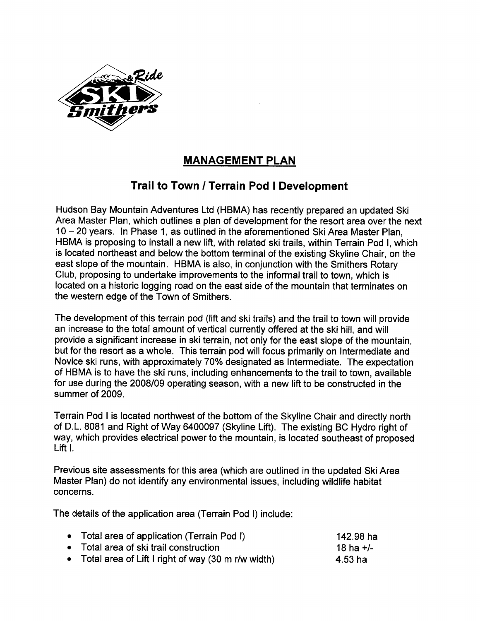

# MANAGEMENT PLAN

## Trail to Town / Terrain Pod I Development

Hudson Bay Mountain Adventures Ltd (HBMA) has recently prepared an updated Ski Area Master Plan, which outlines a plan of development for the resort area over the next 10 - 20 years. In Phase 1, as outlined in the aforementioned Ski Area Master Plan, HBMA is proposing to install a new lift, with related ski trails, within Terrain Pod I, which is located northeast and below the bottom terminal of the existing Skyline Chair, on the east slope of the mountain. HBMA is also, in conjunction with the Smithers Rotary Club, proposing to undertake improvements to the informal trail to town, which is located on a historic logging road on the east side of the mountain that terminates on the western edge of the Town of Smithers.

The development of this terrain pod (lift and ski trails) and the trail to town will provide an increase to the total amount of vertical currently offered at the ski hill, and will provide a significant increase in ski terrain, not only for the east slope of the mountain, but for the resort as a whole. This terrain pod will focus primarily on Intermediate and Novice ski runs, with approximately 70% designated as Intermediate. The expectation of HBMA is to have the ski runs, including enhancements to the trail to town, available for use during the 2008/09 operating season, with a new lift to be constructed in the summer of 2009.

Terrain Pod I is located northwest of the bottom of the Skyline Chair and directly north of D.L. 8081 and Right of Way 6400097 (Skyline Lift). The existing BC Hydro right of way, which provides electrical power to the mountain, is located southeast of proposed Lift I.

Previous site assessments for this area (which are outlined in the updated Ski Area Master Plan) do not identify any environmental issues, including wildlife habitat concerns.

The details of the application area (Terrain Pod I) include:

| • Total area of application (Terrain Pod I)          | 142.98 ha   |
|------------------------------------------------------|-------------|
| • Total area of ski trail construction               | 18 ha $+/-$ |
| • Total area of Lift I right of way (30 m r/w width) | 4.53 ha     |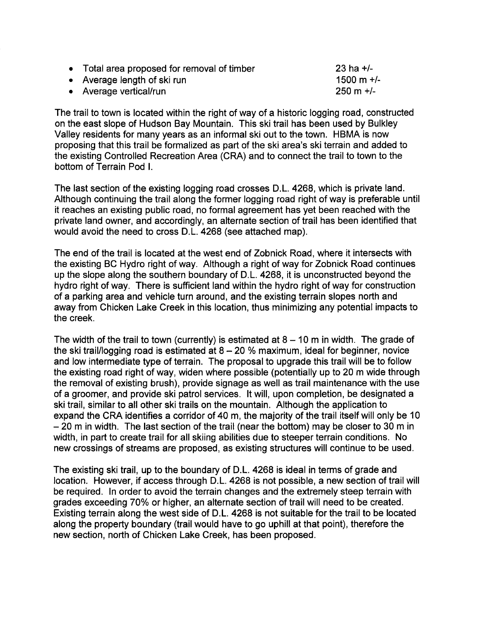. Average length of ski run

. Average verticallrun

 $23$  ha  $+/ 1500 \text{ m} +$ /- $250 \text{ m} +/-$ 

The trail to town is located within the right of way of a historic logging road, constructed on the east slope of Hudson Bay Mountain. This ski trail has been used by Bulkley Valley residents for many years as an informal ski out to the town. HBMA is now proposing that this trail be formalized as part of the ski area's ski terrain and added to the existing Controlled Recreation Area (CRA) and to connect the trail to town to the bottom of Terrain Pod i.

The last section of the existing logging road crosses D.L. 4268, which is private land. Although continuing the trail along the former logging road right of way is preferable until it reaches an existing public road, no formal agreement has yet been reached with the private land owner, and accordingly, an alternate section of trail has been identified that would avoid the need to cross D.L. 4268 (see attached map).

The end of the trail is located at the west end of Zobnick Road, where it intersects with the existing BC Hydro right of way. Although a right of way for Zobnick Road continues up the slope along the southern boundary of D.L. 4268, it is unconstructed beyond the hydro right of way. There is sufficient land within the hydro right of way for construction of a parking area and vehicle turn around, and the existing terrain slopes north and away from Chicken Lake Creek in this location, thus minimizing any potential impacts to the creek.

The width of the trail to town (currently) is estimated at  $8 - 10$  m in width. The grade of the ski trail/logging road is estimated at  $8 - 20$  % maximum, ideal for beginner, novice and low intermediate type of terrain. The proposal to upgrade this trail will be to follow the existing road right of way, widen where possible (potentially up to 20 m wide through the removal of existing brush), provide signage as well as trail maintenance with the use of a groomer, and provide ski patrol services. It will, upon completion, be designated a ski trail, similar to all other ski trails on the mountain. Although the application to expand the CRA identifies a corridor of 40 m, the majority of the trail itself will only be 10 - 20 m in width. The last section of the trail (near the bottom) may be closer to 30 m in width, in part to create trail for all skiing abilities due to steeper terrain conditions. No new crossings of streams are proposed, as existing structures will continue to be used.

The existing ski trail, up to the boundary of D.L. 4268 is ideal in terms of grade and location. However, if access through D.L. 4268 is not possible, a new section of trail will be required. In order to avoid the terrain changes and the extremely steep terrain with grades exceeding 70% or higher, an alternate section of trail will need to be created. Existing terrain along the west side of D.L. 4268 is not suitable for the trail to be located along the property boundary (trail would have to go uphill at that point), therefore the new section, north of Chicken Lake Creek, has been proposed.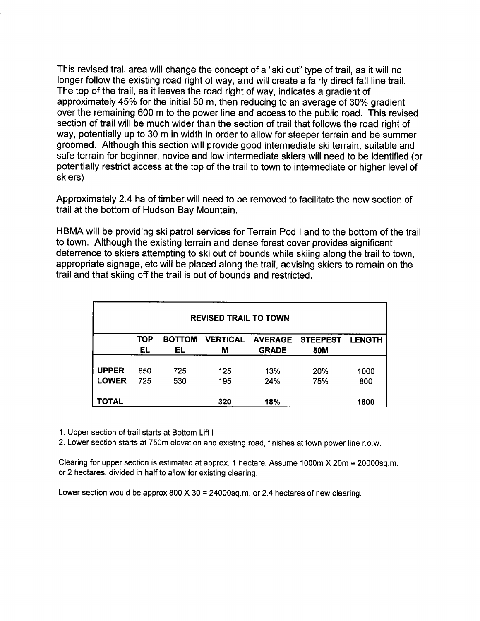This revised trail area will change the concept of a "ski out" type of trail, as it will no longer follow the existing road right of way, and will create a fairly direct fall line traiL. The top of the trail, as it leaves the road right of way, indicates a gradient of approximately 45% for the initial 50 m, then reducing to an average of 30% gradient over the remaining 600 m to the power line and access to the public road. This revised section of trail will be much wider than the section of trail that follows the road right of way, potentially up to 30 m in width in order to allow for steeper terrain and be summer groomed. Although this section will provide good intermediate ski terrain, suitable and safe terrain for beginner, novice and low intermediate skiers will need to be identified (or potentially restrict access at the top of the trail to town to intermediate or higher level of skiers)

Approximately 2.4 ha of timber will need to be removed to facilitate the new section of trail at the bottom of Hudson Bay Mountain.

HBMA will be providing ski patrol services for Terrain Pod I and to the bottom of the trail to town. Although the existing terrain and dense forest cover provides significant deterrence to skiers attempting to ski out of bounds while skiing along the trail to town, appropriate signage, etc will be placed along the trail, advising skiers to remain on the trail and that skiing off the trail is out of bounds and restricted.

| <b>REVISED TRAIL TO TOWN</b> |            |                     |                      |                                |                        |               |
|------------------------------|------------|---------------------|----------------------|--------------------------------|------------------------|---------------|
|                              | TOP<br>EL  | <b>BOTTOM</b><br>EL | <b>VERTICAL</b><br>М | <b>AVERAGE</b><br><b>GRADE</b> | <b>STEEPEST</b><br>50M | <b>LENGTH</b> |
| <b>UPPER</b><br><b>LOWER</b> | 850<br>725 | 725<br>530          | 125<br>195           | 13%<br>24%                     | 20%<br>75%             | 1000<br>800   |
| TOTAL                        |            |                     | 320                  | 18%                            |                        | 1800          |

1. Upper section of trail starts at Bottom Lift I

2. Lower section starts at 750m elevation and existing road, finishes at town power line r.o.w.

Clearing for upper section is estimated at approx. 1 hectare. Assume 1000m X 20m = 20000sq.m. or 2 hectares, divided in half to allow for existing clearing.

Lower section would be approx 800 X 30 = 24000sq.m. or 2.4 hectares of new clearing.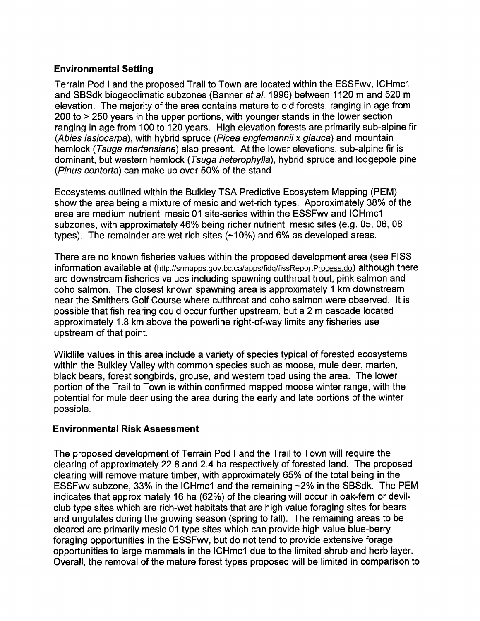### Environmental Setting

Terrain Pod I and the proposed Trail to Town are located within the ESSFwv, ICHmc1 and SBSdk biogeoclimatic subzones (Banner et al. 1996) between 1120 m and 520 m elevation. The majority of the area contains mature to old forests, ranging in age from  $200$  to  $>$  250 years in the upper portions, with younger stands in the lower section ranging in age from 100 to 120 years. High elevation forests are primarily sub-alpine fir (Abies lasiocarpa), with hybrid spruce (Picea englemannii x glauca) and mountain hemlock (Tsuga merfensiana) also present. At the lower elevations, sub-alpine fir is dominant, but western hemlock (Tsuga heterophylla), hybrid spruce and lodgepole pine (Pinus contorfa) can make up over 50% of the stand.

Ecosystems outlined within the Bulkley TSA Predictive Ecosystem Mapping (PEM) show the area being a mixture of mesic and wet-rich types. Approximately 38% of the area are medium nutrient, mesic 01 site-series within the ESSFwv and ICHmc1 subzones, with approximately 46% being richer nutrient, mesic sites (e.g. 05, 06, 08 types). The remainder are wet rich sites  $(-10%)$  and 6% as developed areas.

There are no known fisheries values within the proposed development area (see FISS information available at (http://srmapps.gov.bc.ca/apps/fidq/fissReportProcess.do) although there are downstream fisheries values including spawning cutthroat trout, pink salmon and coho salmon. The closest known spawning area is approximately 1 km downstream near the Smithers Golf Course where cutthroat and coho salmon were observed. It is possible that fish rearing could occur further upstream, but a 2 m cascade located approximately 1.8 km above the powerline right-of-way limits any fisheries use upstream of that point.

Wildlife values in this area include a variety of species typical of forested ecosystems within the Bulkley Valley with common species such as moose, mule deer, marten, black bears, forest songbirds, grouse, and western toad using the area. The lower portion of the Trail to Town is within confirmed mapped moose winter range, with the potential for mule deer using the area during the early and late portions of the winter possible.

#### Environmental Risk Assessment

The proposed development of Terrain Pod I and the Trail to Town will require the clearing of approximately 22.8 and 2.4 ha respectively of forested land. The proposed clearing will remove mature timber, with approximately 65% of the total being in the ESSFwy subzone, 33% in the ICHmc1 and the remaining  $\sim$ 2% in the SBSdk. The PEM indicates that approximately 16 ha (62%) of the clearing will occur in oak-fern or devilclub type sites which are rich-wet habitats that are high value foraging sites for bears and ungulates during the growing season (spring to fall). The remaining areas to be cleared are primarily mesic 01 type sites which can provide high value blue-berry foraging opportunities in the ESSFwv, but do not tend to provide extensive forage opportunities to large mammals in the ICHmc1 due to the limited shrub and herb layer. Overall, the removal of the mature forest types proposed will be limited in comparison to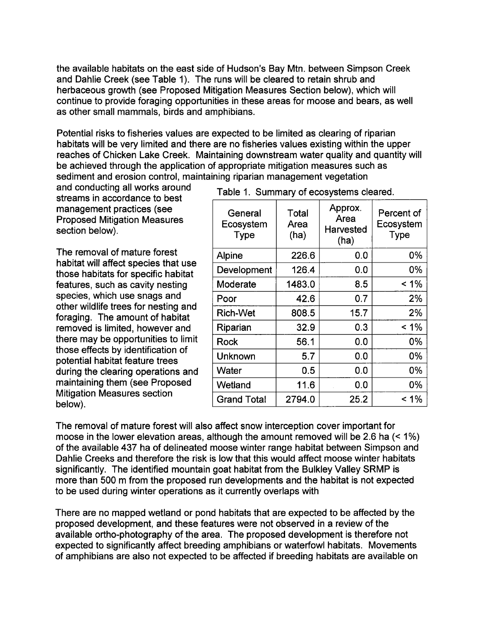the available habitats on the east side of Hudson's Bay Mtn. between Simpson Creek and Dahlie Creek (see Table 1). The runs will be cleared to retain shrub and herbaceous growth (see Proposed Mitigation Measures Section below), which will continue to provide foraging opportunities in these areas for moose and bears, as well as other small mammals, birds and amphibians.

Potential risks to fisheries values are expected to be limited as clearing of riparian habitats will be very limited and there are no fisheries values existing within the upper reaches of Chicken Lake Creek. Maintaining downstream water quality and quantity will be achieved through the application of appropriate mitigation measures such as sediment and erosion control, maintaining riparian management vegetation

and conducting all works around Table 1. Summary of ecosystems cleared. streams in accordance to best management practices (see Proposed Mitigation Measures section below).

The removal of mature forest habitat will affect species that use those habitats for specific habitat features, such as cavity nesting species, which use snags and other wildlife trees for nesting and foraging. The amount of habitat removed is limited, however and there may be opportunities to limit those effects by identification of potential habitat feature trees during the clearing operations and maintaining them (see Proposed Mitigation Measures section below).

| General<br>Ecosystem<br><b>Type</b> | Total<br>Area<br>(ha) | Approx.<br>Area<br>Harvested<br>(ha) | Percent of<br>Ecosystem<br><b>Type</b> |
|-------------------------------------|-----------------------|--------------------------------------|----------------------------------------|
| <b>Alpine</b>                       | 226.6                 | 0.0                                  | 0%                                     |
| Development                         | 126.4                 | 0.0                                  | 0%                                     |
| Moderate                            | 1483.0                | 8.5                                  | $< 1\%$                                |
| Poor                                | 42.6                  | 0.7                                  | 2%                                     |
| <b>Rich-Wet</b>                     | 808.5                 | 15.7                                 | 2%                                     |
| Riparian                            | 32.9                  | 0.3                                  | $< 1\%$                                |
| Rock                                | 56.1                  | 0.0                                  | 0%                                     |
| Unknown                             | 5.7                   | 0.0                                  | 0%                                     |
| Water                               | 0.5                   | 0.0                                  | 0%                                     |
| Wetland                             | 11.6                  | 0.0                                  | 0%                                     |
| <b>Grand Total</b>                  | 2794.0                | 25.2                                 | $< 1\%$                                |

The removal of mature forest will also affect snow interception cover important for moose in the lower elevation areas, although the amount removed will be 2.6 ha  $($  < 1%) of the available 437 ha of delineated moose winter range habitat between Simpson and Dahlie Creeks and therefore the risk is low that this would affect moose winter habitats significantly. The identified mountain goat habitat from the Bulkley Valley SRMP is more than 500 m from the proposed run developments and the habitat is not expected to be used during winter operations as it currently overlaps with

There are no mapped wetland or pond habitats that are expected to be affected by the proposed development, and these features were not observed in a review of the available ortho-photography of the area. The proposed development is therefore not expected to significantly affect breeding amphibians or waterfowl habitats. Movements of amphibians are also not expected to be affected if breeding habitats are available on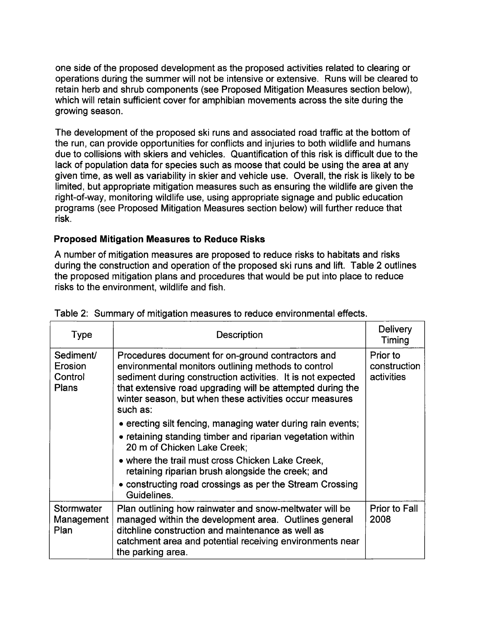one side of the proposed development as the proposed activities related to clearing or operations during the summer will not be intensive or extensive. Runs will be cleared to retain herb and shrub components (see Proposed Mitigation Measures section below), which will retain sufficient cover for amphibian movements across the site during the growing season.

The development of the proposed ski runs and associated road traffic at the bottom of the run, can provide opportunities for conflicts and injuries to both wildlife and humans due to collisions with skiers and vehicles. Quantification of this risk is difficult due to the lack of population data for species such as moose that could be using the area at any given time, as well as variability in skier and vehicle use. Overall, the risk is likely to be limited, but appropriate mitigation measures such as ensuring the wildlife are given the right-of-way, monitoring wildlife use, using appropriate signage and public education programs (see Proposed Mitigation Measures section below) will further reduce that risk.

### Proposed Mitigation Measures to Reduce Risks

A number of mitigation measures are proposed to reduce risks to habitats and risks during the construction and operation of the proposed ski runs and lift. Table 2 outlines the proposed mitigation plans and procedures that would be put into place to reduce risks to the environment, wildlife and fish.

| <b>Type</b>                              | <b>Description</b>                                                                                                                                                                                                                                                                                                                           | <b>Delivery</b><br>Timing              |
|------------------------------------------|----------------------------------------------------------------------------------------------------------------------------------------------------------------------------------------------------------------------------------------------------------------------------------------------------------------------------------------------|----------------------------------------|
| Sediment/<br>Erosion<br>Control<br>Plans | Procedures document for on-ground contractors and<br>environmental monitors outlining methods to control<br>sediment during construction activities. It is not expected<br>that extensive road upgrading will be attempted during the<br>winter season, but when these activities occur measures<br>such as:                                 | Prior to<br>construction<br>activities |
|                                          | • erecting silt fencing, managing water during rain events;<br>• retaining standing timber and riparian vegetation within<br>20 m of Chicken Lake Creek;<br>• where the trail must cross Chicken Lake Creek,<br>retaining riparian brush alongside the creek; and<br>• constructing road crossings as per the Stream Crossing<br>Guidelines. |                                        |
| Stormwater<br>Management<br>Plan         | Plan outlining how rainwater and snow-meltwater will be<br>managed within the development area. Outlines general<br>ditchline construction and maintenance as well as<br>catchment area and potential receiving environments near<br>the parking area.                                                                                       | <b>Prior to Fall</b><br>2008           |

Table 2: Summary of mitigation measures to reduce environmental effects.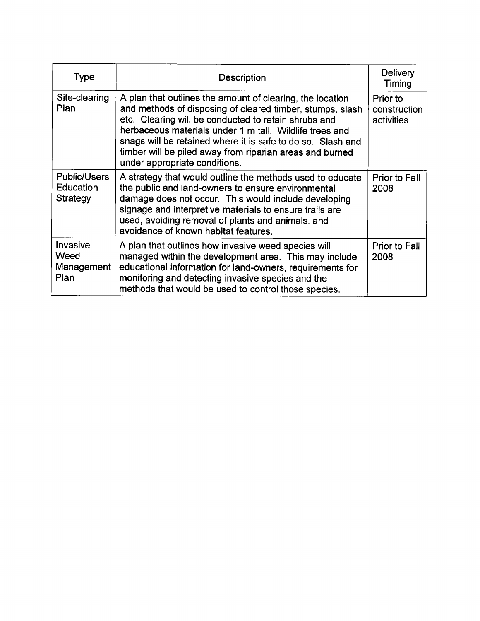| Type                                         | Description                                                                                                                                                                                                                                                                                                                                                                                           | <b>Delivery</b><br>Timing              |
|----------------------------------------------|-------------------------------------------------------------------------------------------------------------------------------------------------------------------------------------------------------------------------------------------------------------------------------------------------------------------------------------------------------------------------------------------------------|----------------------------------------|
| Site-clearing<br>Plan                        | A plan that outlines the amount of clearing, the location<br>and methods of disposing of cleared timber, stumps, slash<br>etc. Clearing will be conducted to retain shrubs and<br>herbaceous materials under 1 m tall. Wildlife trees and<br>snags will be retained where it is safe to do so. Slash and<br>timber will be piled away from riparian areas and burned<br>under appropriate conditions. | Prior to<br>construction<br>activities |
| <b>Public/Users</b><br>Education<br>Strategy | A strategy that would outline the methods used to educate<br>the public and land-owners to ensure environmental<br>damage does not occur. This would include developing<br>signage and interpretive materials to ensure trails are<br>used, avoiding removal of plants and animals, and<br>avoidance of known habitat features.                                                                       | <b>Prior to Fall</b><br>2008           |
| Invasive<br>Weed<br>Management<br>Plan       | A plan that outlines how invasive weed species will<br>managed within the development area. This may include<br>educational information for land-owners, requirements for<br>monitoring and detecting invasive species and the<br>methods that would be used to control those species.                                                                                                                | <b>Prior to Fall</b><br>2008           |